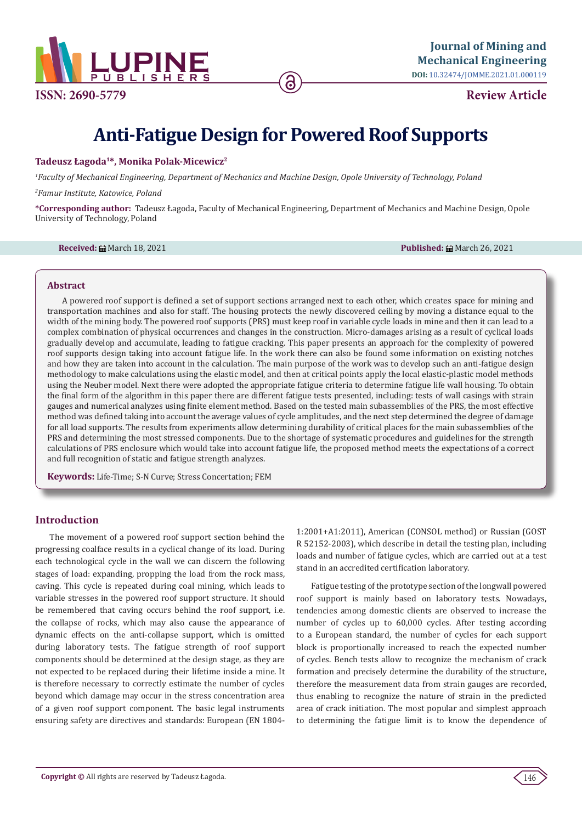

**ISSN: 2690-5779**

**Review Article**

# **Anti-Fatigue Design for Powered Roof Supports**

# **Tadeusz Łagoda1\*, Monika Polak-Micewicz2**

*1 Faculty of Mechanical Engineering, Department of Mechanics and Machine Design, Opole University of Technology, Poland*

*2 Famur Institute, Katowice, Poland*

**\*Corresponding author:** Tadeusz Łagoda, Faculty of Mechanical Engineering, Department of Mechanics and Machine Design, Opole University of Technology, Poland

**Received:** March 18, 2021 **Published:** March 26, 2021

#### **Abstract**

A powered roof support is defined a set of support sections arranged next to each other, which creates space for mining and transportation machines and also for staff. The housing protects the newly discovered ceiling by moving a distance equal to the width of the mining body. The powered roof supports (PRS) must keep roof in variable cycle loads in mine and then it can lead to a complex combination of physical occurrences and changes in the construction. Micro-damages arising as a result of cyclical loads gradually develop and accumulate, leading to fatigue cracking. This paper presents an approach for the complexity of powered roof supports design taking into account fatigue life. In the work there can also be found some information on existing notches and how they are taken into account in the calculation. The main purpose of the work was to develop such an anti-fatigue design methodology to make calculations using the elastic model, and then at critical points apply the local elastic-plastic model methods using the Neuber model. Next there were adopted the appropriate fatigue criteria to determine fatigue life wall housing. To obtain the final form of the algorithm in this paper there are different fatigue tests presented, including: tests of wall casings with strain gauges and numerical analyzes using finite element method. Based on the tested main subassemblies of the PRS, the most effective method was defined taking into account the average values of cycle amplitudes, and the next step determined the degree of damage for all load supports. The results from experiments allow determining durability of critical places for the main subassemblies of the PRS and determining the most stressed components. Due to the shortage of systematic procedures and guidelines for the strength calculations of PRS enclosure which would take into account fatigue life, the proposed method meets the expectations of a correct and full recognition of static and fatigue strength analyzes.

**Keywords:** Life-Time; S-N Curve; Stress Concertation; FEM

# **Introduction**

The movement of a powered roof support section behind the progressing coalface results in a cyclical change of its load. During each technological cycle in the wall we can discern the following stages of load: expanding, propping the load from the rock mass, caving. This cycle is repeated during coal mining, which leads to variable stresses in the powered roof support structure. It should be remembered that caving occurs behind the roof support, i.e. the collapse of rocks, which may also cause the appearance of dynamic effects on the anti-collapse support, which is omitted during laboratory tests. The fatigue strength of roof support components should be determined at the design stage, as they are not expected to be replaced during their lifetime inside a mine. It is therefore necessary to correctly estimate the number of cycles beyond which damage may occur in the stress concentration area of a given roof support component. The basic legal instruments ensuring safety are directives and standards: European (EN 18041:2001+A1:2011), American (CONSOL method) or Russian (GOST R 52152-2003), which describe in detail the testing plan, including loads and number of fatigue cycles, which are carried out at a test stand in an accredited certification laboratory.

Fatigue testing of the prototype section of the longwall powered roof support is mainly based on laboratory tests. Nowadays, tendencies among domestic clients are observed to increase the number of cycles up to 60,000 cycles. After testing according to a European standard, the number of cycles for each support block is proportionally increased to reach the expected number of cycles. Bench tests allow to recognize the mechanism of crack formation and precisely determine the durability of the structure, therefore the measurement data from strain gauges are recorded, thus enabling to recognize the nature of strain in the predicted area of crack initiation. The most popular and simplest approach to determining the fatigue limit is to know the dependence of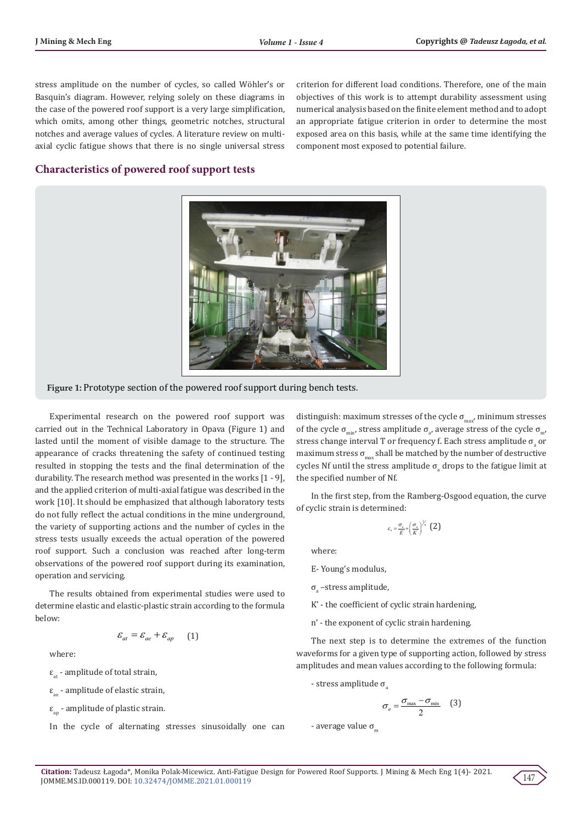stress amplitude on the number of cycles, so called Wöhler's or Basquin's diagram. However, relying solely on these diagrams in the case of the powered roof support is a very large simplification, which omits, among other things, geometric notches, structural notches and average values of cycles. A literature review on multiaxial cyclic fatigue shows that there is no single universal stress criterion for different load conditions. Therefore, one of the main objectives of this work is to attempt durability assessment using numerical analysis based on the finite element method and to adopt an appropriate fatigue criterion in order to determine the most exposed area on this basis, while at the same time identifying the component most exposed to potential failure.

# **Characteristics of powered roof support tests**



**Figure 1:** Prototype section of the powered roof support during bench tests.

Experimental research on the powered roof support was carried out in the Technical Laboratory in Opava (Figure 1) and lasted until the moment of visible damage to the structure. The appearance of cracks threatening the safety of continued testing resulted in stopping the tests and the final determination of the durability. The research method was presented in the works [1 - 9], and the applied criterion of multi-axial fatigue was described in the work [10]. It should be emphasized that although laboratory tests do not fully reflect the actual conditions in the mine underground, the variety of supporting actions and the number of cycles in the stress tests usually exceeds the actual operation of the powered roof support. Such a conclusion was reached after long-term observations of the powered roof support during its examination, operation and servicing.

The results obtained from experimental studies were used to determine elastic and elastic-plastic strain according to the formula below:

 $\varepsilon_{at} = \varepsilon_{ae} + \varepsilon_{an}$  (1)

where:

 $\varepsilon_{at}$  - amplitude of total strain,

 $\varepsilon_{\text{eq}}$  - amplitude of elastic strain,

 $\varepsilon_{\text{an}}$  - amplitude of plastic strain.

In the cycle of alternating stresses sinusoidally one can

distinguish: maximum stresses of the cycle  $\sigma_{\text{max}}$ , minimum stresses of the cycle  $\sigma_{\min}$ , stress amplitude  $\sigma_{a'}$  average stress of the cycle  $\sigma_{\min'}$ stress change interval T or frequency f. Each stress amplitude  $\sigma_{\text{\tiny a}}$  or maximum stress  $\sigma_{\text{max}}$  shall be matched by the number of destructive cycles Nf until the stress amplitude  $\sigma_{\rm a}$  drops to the fatigue limit at the specified number of Nf.

In the first step, from the Ramberg-Osgood equation, the curve of cyclic strain is determined:

$$
\varepsilon_{a} = \frac{\sigma_{a}}{E} + \left(\frac{\sigma_{a}}{K}\right)^{\frac{1}{n}} \quad (2)
$$

where:

E- Young's modulus,

 $\sigma_{\rm a}$  –stress amplitude,

- K' the coefficient of cyclic strain hardening,
- n' the exponent of cyclic strain hardening.

The next step is to determine the extremes of the function waveforms for a given type of supporting action, followed by stress amplitudes and mean values according to the following formula:

- stress amplitude  $σ$ 

$$
\sigma_a = \frac{\sigma_{\max} - \sigma_{\min}}{2} \quad (3)
$$

- average value  $\sigma_m$ 

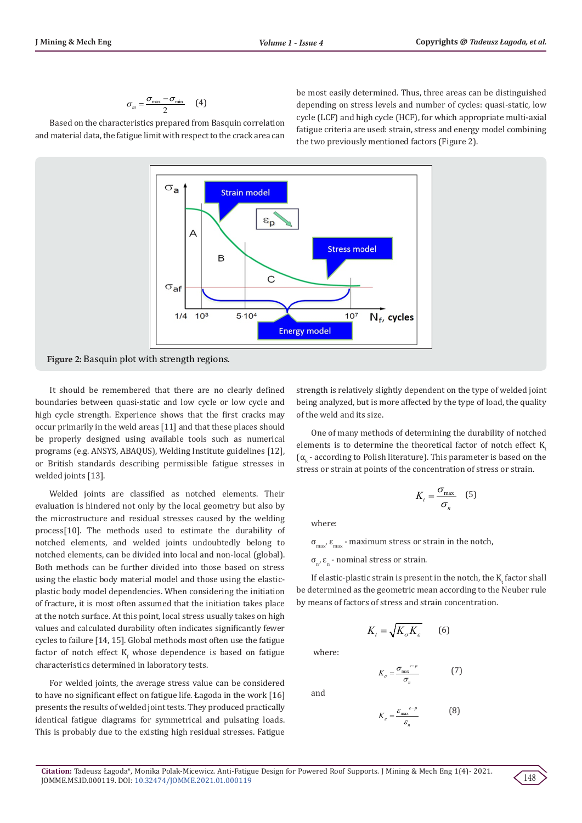$$
\sigma_m = \frac{\sigma_{\max} - \sigma_{\min}}{2} \qquad (4)
$$

Based on the characteristics prepared from Basquin correlation and material data, the fatigue limit with respect to the crack area can be most easily determined. Thus, three areas can be distinguished depending on stress levels and number of cycles: quasi-static, low cycle (LCF) and high cycle (HCF), for which appropriate multi-axial fatigue criteria are used: strain, stress and energy model combining the two previously mentioned factors (Figure 2).



It should be remembered that there are no clearly defined boundaries between quasi-static and low cycle or low cycle and high cycle strength. Experience shows that the first cracks may occur primarily in the weld areas [11] and that these places should be properly designed using available tools such as numerical programs (e.g. ANSYS, ABAQUS), Welding Institute guidelines [12], or British standards describing permissible fatigue stresses in welded joints [13].

Welded joints are classified as notched elements. Their evaluation is hindered not only by the local geometry but also by the microstructure and residual stresses caused by the welding process[10]. The methods used to estimate the durability of notched elements, and welded joints undoubtedly belong to notched elements, can be divided into local and non-local (global). Both methods can be further divided into those based on stress using the elastic body material model and those using the elasticplastic body model dependencies. When considering the initiation of fracture, it is most often assumed that the initiation takes place at the notch surface. At this point, local stress usually takes on high values and calculated durability often indicates significantly fewer cycles to failure [14, 15]. Global methods most often use the fatigue factor of notch effect  $\mathtt{K}_\mathrm{f}$  whose dependence is based on fatigue characteristics determined in laboratory tests.

For welded joints, the average stress value can be considered to have no significant effect on fatigue life. Łagoda in the work [16] presents the results of welded joint tests. They produced practically identical fatigue diagrams for symmetrical and pulsating loads. This is probably due to the existing high residual stresses. Fatigue strength is relatively slightly dependent on the type of welded joint being analyzed, but is more affected by the type of load, the quality of the weld and its size.

One of many methods of determining the durability of notched elements is to determine the theoretical factor of notch effect  $K$  $(\alpha_{k}$  - according to Polish literature). This parameter is based on the stress or strain at points of the concentration of stress or strain.

$$
K_t = \frac{\sigma_{\text{max}}}{\sigma_n} \quad (5)
$$

where:

 $σ<sub>max</sub>$ ,  $ε<sub>max</sub>$  - maximum stress or strain in the notch,

 $\sigma_{n'}$ , ε<sub>n</sub> - nominal stress or strain.

If elastic-plastic strain is present in the notch, the  $K_t$  factor shall be determined as the geometric mean according to the Neuber rule by means of factors of stress and strain concentration.

$$
K_{t} = \sqrt{K_{\sigma} K_{\varepsilon}} \qquad (6)
$$

where:

and

 $K_{\sigma} = \frac{\sigma_{\max}^{e^{-p}}}{\sigma}$  $K_{\sigma} = \frac{\sigma_{\text{max}}}{\sigma_{n}}$ σ  $=\frac{\sigma_{\max}^{e-p}}{\sigma}$  (7)

*K*ε

$$
K_{\varepsilon} = \frac{\varepsilon_{\max}^{\varepsilon - p}}{\varepsilon_n} \tag{8}
$$

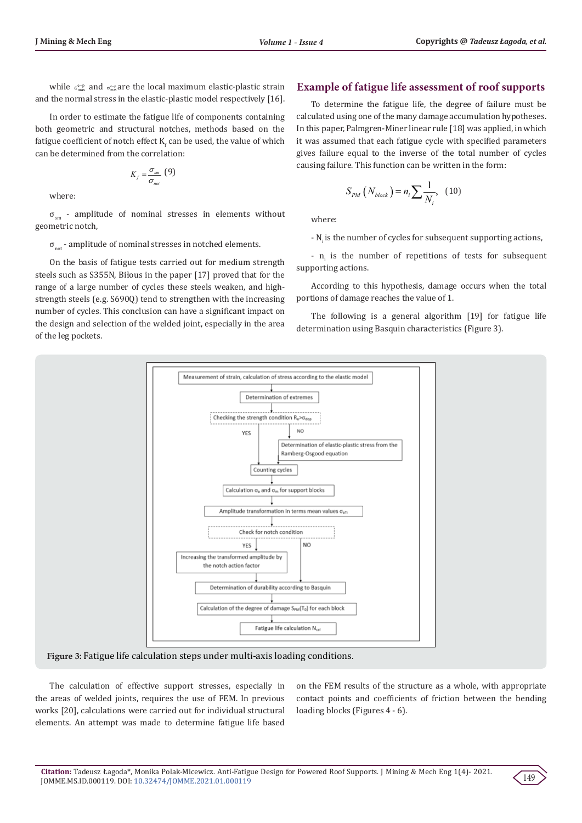while  $\varepsilon_{\text{max}}^{\text{e-p}}$  and  $\sigma_{\text{max}}^{\text{e-p}}$  are the local maximum elastic-plastic strain and the normal stress in the elastic-plastic model respectively [16].

In order to estimate the fatigue life of components containing both geometric and structural notches, methods based on the fatigue coefficient of notch effect  $\mathsf{K}_\mathrm{f}$  can be used, the value of which can be determined from the correlation:

$$
K_f = \frac{\sigma_{sm}}{\sigma_{not}} \text{ (9)}
$$

where:

 $\sigma_{\rm sm}$  - amplitude of nominal stresses in elements without geometric notch,

 $\sigma_{\text{not}}$  - amplitude of nominal stresses in notched elements.

On the basis of fatigue tests carried out for medium strength steels such as S355N, Biłous in the paper [17] proved that for the range of a large number of cycles these steels weaken, and highstrength steels (e.g. S690Q) tend to strengthen with the increasing number of cycles. This conclusion can have a significant impact on the design and selection of the welded joint, especially in the area of the leg pockets.

#### **Example of fatigue life assessment of roof supports**

To determine the fatigue life, the degree of failure must be calculated using one of the many damage accumulation hypotheses. In this paper, Palmgren-Miner linear rule [18] was applied, in which it was assumed that each fatigue cycle with specified parameters gives failure equal to the inverse of the total number of cycles causing failure. This function can be written in the form:

$$
S_{PM}\left(N_{block}\right) = n_i \sum \frac{1}{N_i}, \quad (10)
$$

where:

- N<sub>i</sub> is the number of cycles for subsequent supporting actions,

-  $n_i$  is the number of repetitions of tests for subsequent supporting actions.

According to this hypothesis, damage occurs when the total portions of damage reaches the value of 1.

The following is a general algorithm [19] for fatigue life determination using Basquin characteristics (Figure 3).



**Figure 3:** Fatigue life calculation steps under multi-axis loading conditions.

The calculation of effective support stresses, especially in the areas of welded joints, requires the use of FEM. In previous works [20], calculations were carried out for individual structural elements. An attempt was made to determine fatigue life based

on the FEM results of the structure as a whole, with appropriate contact points and coefficients of friction between the bending loading blocks (Figures 4 - 6).

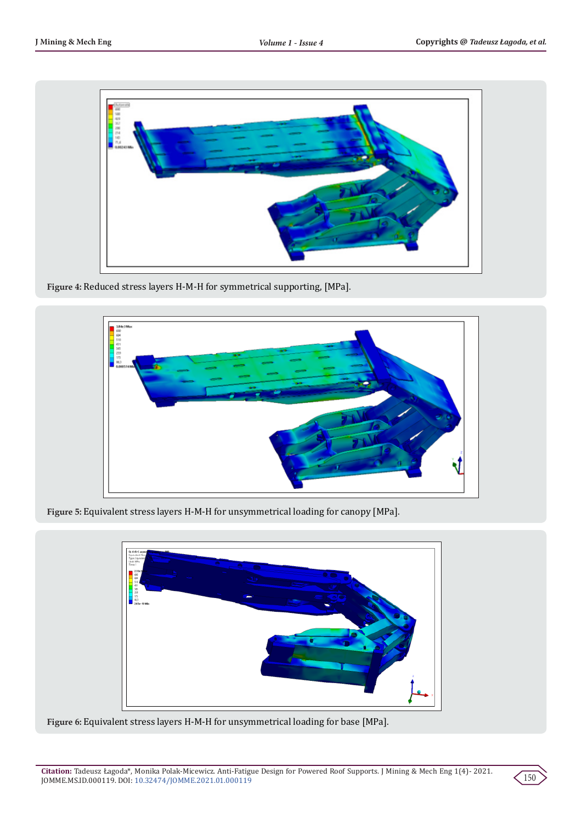

**Figure 4:** Reduced stress layers H-M-H for symmetrical supporting, [MPa].



**Figure 5:** Equivalent stress layers H-M-H for unsymmetrical loading for canopy [MPa].



**Figure 6:** Equivalent stress layers H-M-H for unsymmetrical loading for base [MPa].

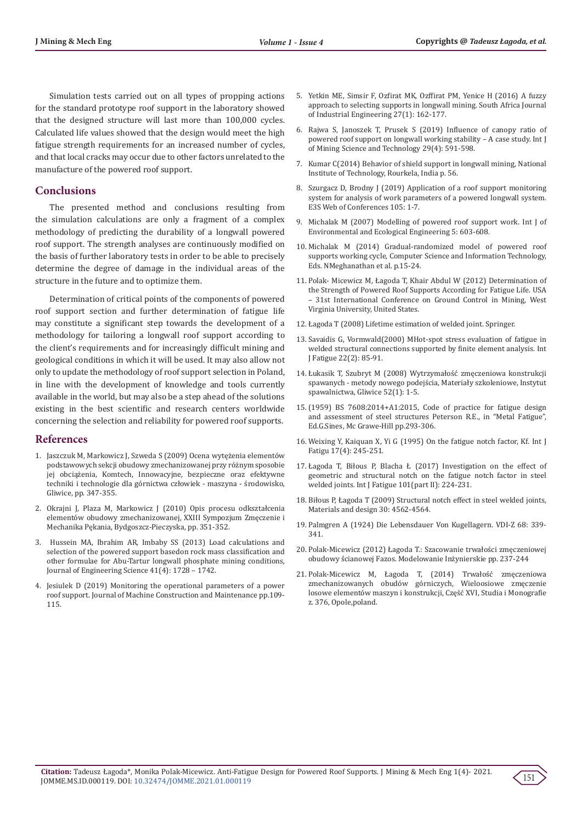Simulation tests carried out on all types of propping actions for the standard prototype roof support in the laboratory showed that the designed structure will last more than 100,000 cycles. Calculated life values showed that the design would meet the high fatigue strength requirements for an increased number of cycles, and that local cracks may occur due to other factors unrelated to the manufacture of the powered roof support.

# **Conclusions**

The presented method and conclusions resulting from the simulation calculations are only a fragment of a complex methodology of predicting the durability of a longwall powered roof support. The strength analyses are continuously modified on the basis of further laboratory tests in order to be able to precisely determine the degree of damage in the individual areas of the structure in the future and to optimize them.

Determination of critical points of the components of powered roof support section and further determination of fatigue life may constitute a significant step towards the development of a methodology for tailoring a longwall roof support according to the client's requirements and for increasingly difficult mining and geological conditions in which it will be used. It may also allow not only to update the methodology of roof support selection in Poland, in line with the development of knowledge and tools currently available in the world, but may also be a step ahead of the solutions existing in the best scientific and research centers worldwide concerning the selection and reliability for powered roof supports.

#### **References**

- 1. Jaszczuk M, Markowicz J, Szweda S (2009) Ocena wytężenia elementów podstawowych sekcji obudowy zmechanizowanej przy różnym sposobie jej obciążenia, Komtech, Innowacyjne, bezpieczne oraz efektywne techniki i technologie dla górnictwa człowiek - maszyna - środowisko, Gliwice, pp. 347-355.
- 2. Okrajni J, Plaza M, Markowicz J (2010) Opis procesu odkształcenia elementów obudowy zmechanizowanej, XXIII Sympozjum Zmęczenie i Mechanika Pękania, Bydgoszcz-Pieczyska, pp. 351-352.
- 3. Hussein MA, Ibrahim AR, Imbaby SS (2013) Load calculations and selection of the powered support basedon rock mass classification and other formulae for Abu-Tartur longwall phosphate mining conditions, Journal of Engineering Science 41(4): 1728 – 1742.
- 4. Jesiulek D (2019) Monitoring the operational parameters of a power roof support. Journal of Machine Construction and Maintenance pp.109- 115.
- 5. Yetkin ME, Simsir F, Ozfirat MK, Ozffirat PM, Yenice H (2016) A fuzzy approach to selecting supports in longwall mining. South Africa Journal of Industrial Engineering 27(1): 162-177.
- 6. Rajwa S, Janoszek T, Prusek S (2019) Influence of canopy ratio of powered roof support on longwall working stability – A case study. Int J of Mining Science and Technology 29(4): 591-598.
- 7. Kumar C(2014) Behavior of shield support in longwall mining, National Institute of Technology, Rourkela, India p. 56.
- 8. Szurgacz D, Brodny J (2019) Application of a roof support monitoring system for analysis of work parameters of a powered longwall system. E3S Web of Conferences 105: 1-7.
- 9. Michalak M (2007) Modelling of powered roof support work. Int J of Environmental and Ecological Engineering 5: 603-608.
- 10. Michalak M (2014) Gradual-randomized model of powered roof supports working cycle, Computer Science and Information Technology, Eds. NMeghanathan et al. p.15-24.
- 11. Polak- Micewicz M, Łagoda T, Khair Abdul W (2012) Determination of the Strength of Powered Roof Supports According for Fatigue Life. USA – 31st International Conference on Ground Control in Mining, West Virginia University, United States.
- 12. Łagoda T (2008) Lifetime estimation of welded joint. Springer.
- 13. Savaidis G, Vormwald(2000) MHot-spot stress evaluation of fatigue in welded structural connections supported by finite element analysis. Int J Fatigue 22(2): 85-91.
- 14. Łukasik T, Szubryt M (2008) Wytrzymałość zmęczeniowa konstrukcji spawanych - metody nowego podejścia, Materiały szkoleniowe, Instytut spawalnictwa, Gliwice 52(1): 1-5.
- 15.(1959) BS 7608:2014+A1:2015, Code of practice for fatigue design and assessment of steel structures Peterson R.E., in "Metal Fatigue", Ed.G.Sines, Mc Grawe-Hill pp.293-306.
- 16. Weixing Y, Kaiquan X, Yi G (1995) On the fatigue notch factor, Kf. Int J Fatigu 17(4): 245-251.
- 17. Łagoda T, Biłous P, Blacha Ł (2017) Investigation on the effect of geometric and structural notch on the fatigue notch factor in steel welded joints. Int J Fatigue 101(part II): 224-231.
- 18. Biłous P, Łagoda T (2009) Structural notch effect in steel welded joints, Materials and design 30: 4562-4564.
- 19. Palmgren A (1924) Die Lebensdauer Von Kugellagern. VDI-Z 68: 339- 341.
- 20. Polak-Micewicz (2012) Łagoda T.: Szacowanie trwałości zmęczeniowej obudowy ścianowej Fazos. Modelowanie Inżynierskie pp. 237-244
- 21. Polak-Micewicz M, Łagoda T, (2014) Trwałość zmęczeniowa zmechanizowanych obudów górniczych, Wieloosiowe zmęczenie losowe elementów maszyn i konstrukcji, Część XVI, Studia i Monografie z. 376, Opole,poland.